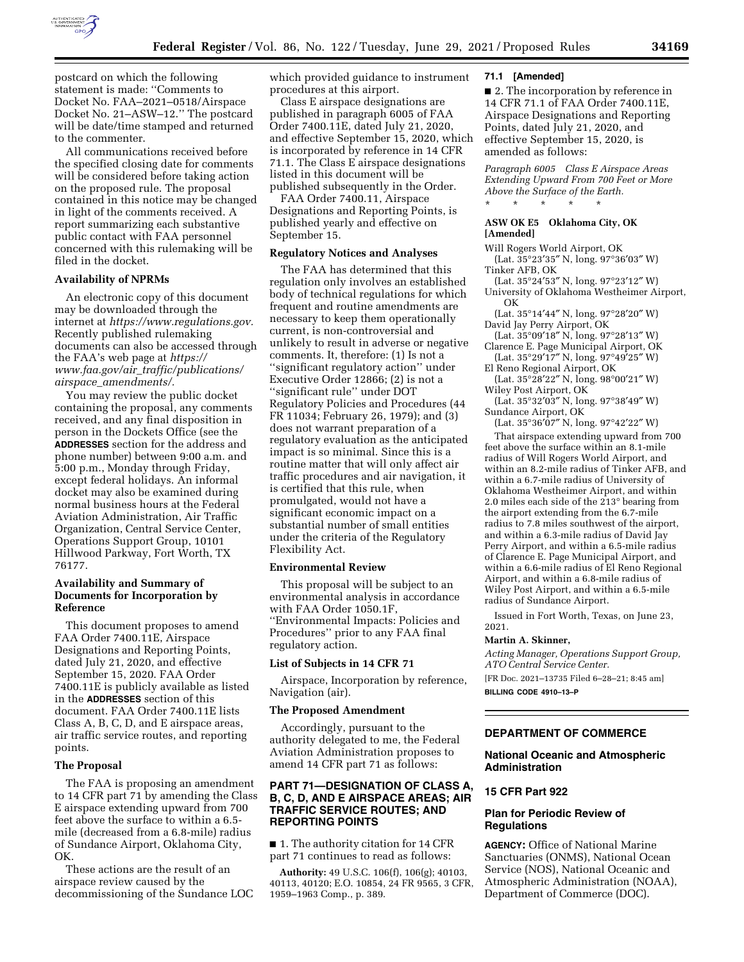

postcard on which the following statement is made: ''Comments to Docket No. FAA–2021–0518/Airspace Docket No. 21–ASW–12.'' The postcard will be date/time stamped and returned to the commenter.

All communications received before the specified closing date for comments will be considered before taking action on the proposed rule. The proposal contained in this notice may be changed in light of the comments received. A report summarizing each substantive public contact with FAA personnel concerned with this rulemaking will be filed in the docket.

# **Availability of NPRMs**

An electronic copy of this document may be downloaded through the internet at *[https://www.regulations.gov.](https://www.regulations.gov)*  Recently published rulemaking documents can also be accessed through the FAA's web page at *[https://](https://www.faa.gov/air_traffic/publications/airspace_amendments/) www.faa.gov/air*\_*[traffic/publications/](https://www.faa.gov/air_traffic/publications/airspace_amendments/) airspace*\_*[amendments/.](https://www.faa.gov/air_traffic/publications/airspace_amendments/)* 

You may review the public docket containing the proposal, any comments received, and any final disposition in person in the Dockets Office (see the **ADDRESSES** section for the address and phone number) between 9:00 a.m. and 5:00 p.m., Monday through Friday, except federal holidays. An informal docket may also be examined during normal business hours at the Federal Aviation Administration, Air Traffic Organization, Central Service Center, Operations Support Group, 10101 Hillwood Parkway, Fort Worth, TX 76177.

### **Availability and Summary of Documents for Incorporation by Reference**

This document proposes to amend FAA Order 7400.11E, Airspace Designations and Reporting Points, dated July 21, 2020, and effective September 15, 2020. FAA Order 7400.11E is publicly available as listed in the **ADDRESSES** section of this document. FAA Order 7400.11E lists Class A, B, C, D, and E airspace areas, air traffic service routes, and reporting points.

### **The Proposal**

The FAA is proposing an amendment to 14 CFR part 71 by amending the Class E airspace extending upward from 700 feet above the surface to within a 6.5 mile (decreased from a 6.8-mile) radius of Sundance Airport, Oklahoma City, OK.

These actions are the result of an airspace review caused by the decommissioning of the Sundance LOC which provided guidance to instrument procedures at this airport.

Class E airspace designations are published in paragraph 6005 of FAA Order 7400.11E, dated July 21, 2020, and effective September 15, 2020, which is incorporated by reference in 14 CFR 71.1. The Class E airspace designations listed in this document will be published subsequently in the Order.

FAA Order 7400.11, Airspace Designations and Reporting Points, is published yearly and effective on September 15.

### **Regulatory Notices and Analyses**

The FAA has determined that this regulation only involves an established body of technical regulations for which frequent and routine amendments are necessary to keep them operationally current, is non-controversial and unlikely to result in adverse or negative comments. It, therefore: (1) Is not a ''significant regulatory action'' under Executive Order 12866; (2) is not a ''significant rule'' under DOT Regulatory Policies and Procedures (44 FR 11034; February 26, 1979); and (3) does not warrant preparation of a regulatory evaluation as the anticipated impact is so minimal. Since this is a routine matter that will only affect air traffic procedures and air navigation, it is certified that this rule, when promulgated, would not have a significant economic impact on a substantial number of small entities under the criteria of the Regulatory Flexibility Act.

### **Environmental Review**

This proposal will be subject to an environmental analysis in accordance with FAA Order 1050.1F, ''Environmental Impacts: Policies and Procedures'' prior to any FAA final regulatory action.

### **List of Subjects in 14 CFR 71**

Airspace, Incorporation by reference, Navigation (air).

#### **The Proposed Amendment**

Accordingly, pursuant to the authority delegated to me, the Federal Aviation Administration proposes to amend 14 CFR part 71 as follows:

# **PART 71—DESIGNATION OF CLASS A, B, C, D, AND E AIRSPACE AREAS; AIR TRAFFIC SERVICE ROUTES; AND REPORTING POINTS**

■ 1. The authority citation for 14 CFR part 71 continues to read as follows:

**Authority:** 49 U.S.C. 106(f), 106(g); 40103, 40113, 40120; E.O. 10854, 24 FR 9565, 3 CFR, 1959–1963 Comp., p. 389.

### **71.1 [Amended]**

■ 2. The incorporation by reference in 14 CFR 71.1 of FAA Order 7400.11E, Airspace Designations and Reporting Points, dated July 21, 2020, and effective September 15, 2020, is amended as follows:

*Paragraph 6005 Class E Airspace Areas Extending Upward From 700 Feet or More Above the Surface of the Earth.*  \* \* \* \* \*

# **ASW OK E5 Oklahoma City, OK [Amended]**

Will Rogers World Airport, OK

- (Lat. 35°23′35″ N, long. 97°36′03″ W) Tinker AFB, OK
- (Lat. 35°24′53″ N, long. 97°23′12″ W)
- University of Oklahoma Westheimer Airport, OK

(Lat. 35°14′44″ N, long. 97°28′20″ W) David Jay Perry Airport, OK

- (Lat. 35°09′18″ N, long. 97°28′13″ W) Clarence E. Page Municipal Airport, OK
- (Lat. 35°29′17″ N, long. 97°49′25″ W) El Reno Regional Airport, OK
- (Lat. 35°28′22″ N, long. 98°00′21″ W) Wiley Post Airport, OK
- (Lat. 35°32′03″ N, long. 97°38′49″ W) Sundance Airport, OK

(Lat. 35°36′07″ N, long. 97°42′22″ W)

That airspace extending upward from 700 feet above the surface within an 8.1-mile radius of Will Rogers World Airport, and within an 8.2-mile radius of Tinker AFB, and within a 6.7-mile radius of University of Oklahoma Westheimer Airport, and within 2.0 miles each side of the 213° bearing from the airport extending from the 6.7-mile radius to 7.8 miles southwest of the airport, and within a 6.3-mile radius of David Jay Perry Airport, and within a 6.5-mile radius of Clarence E. Page Municipal Airport, and within a 6.6-mile radius of El Reno Regional Airport, and within a 6.8-mile radius of Wiley Post Airport, and within a 6.5-mile radius of Sundance Airport.

Issued in Fort Worth, Texas, on June 23, 2021.

#### **Martin A. Skinner,**

*Acting Manager, Operations Support Group, ATO Central Service Center.* 

[FR Doc. 2021–13735 Filed 6–28–21; 8:45 am] **BILLING CODE 4910–13–P** 

# **DEPARTMENT OF COMMERCE**

# **National Oceanic and Atmospheric Administration**

### **15 CFR Part 922**

# **Plan for Periodic Review of Regulations**

**AGENCY:** Office of National Marine Sanctuaries (ONMS), National Ocean Service (NOS), National Oceanic and Atmospheric Administration (NOAA), Department of Commerce (DOC).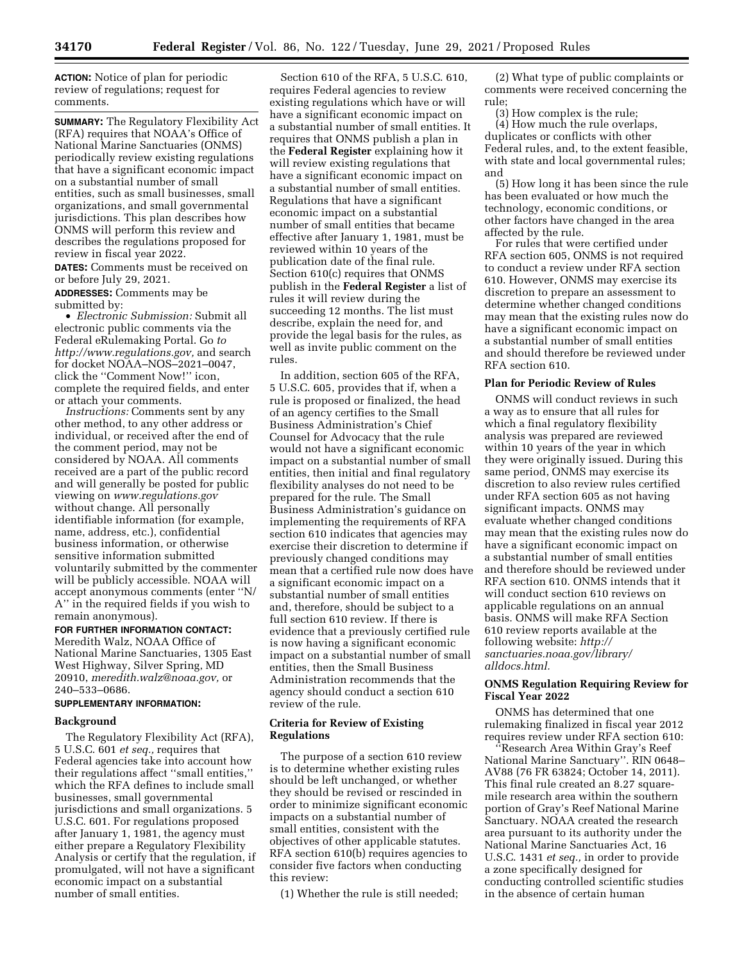**ACTION:** Notice of plan for periodic review of regulations; request for comments.

**SUMMARY:** The Regulatory Flexibility Act (RFA) requires that NOAA's Office of National Marine Sanctuaries (ONMS) periodically review existing regulations that have a significant economic impact on a substantial number of small entities, such as small businesses, small organizations, and small governmental jurisdictions. This plan describes how ONMS will perform this review and describes the regulations proposed for review in fiscal year 2022.

**DATES:** Comments must be received on or before July 29, 2021.

**ADDRESSES:** Comments may be submitted by:

• *Electronic Submission:* Submit all electronic public comments via the Federal eRulemaking Portal. Go *to [http://www.regulations.gov,](http://www.regulations.gov)* and search for docket NOAA–NOS–2021–0047, click the ''Comment Now!'' icon, complete the required fields, and enter or attach your comments.

*Instructions:* Comments sent by any other method, to any other address or individual, or received after the end of the comment period, may not be considered by NOAA. All comments received are a part of the public record and will generally be posted for public viewing on *[www.regulations.gov](http://www.regulations.gov)*  without change. All personally identifiable information (for example, name, address, etc.), confidential business information, or otherwise sensitive information submitted voluntarily submitted by the commenter will be publicly accessible. NOAA will accept anonymous comments (enter ''N/ A'' in the required fields if you wish to remain anonymous).

# **FOR FURTHER INFORMATION CONTACT:**

Meredith Walz, NOAA Office of National Marine Sanctuaries, 1305 East West Highway, Silver Spring, MD 20910, *[meredith.walz@noaa.gov,](mailto:meredith.walz@noaa.gov)* or 240–533–0686.

# **SUPPLEMENTARY INFORMATION:**

### **Background**

The Regulatory Flexibility Act (RFA), 5 U.S.C. 601 *et seq.,* requires that Federal agencies take into account how their regulations affect ''small entities,'' which the RFA defines to include small businesses, small governmental jurisdictions and small organizations. 5 U.S.C. 601. For regulations proposed after January 1, 1981, the agency must either prepare a Regulatory Flexibility Analysis or certify that the regulation, if promulgated, will not have a significant economic impact on a substantial number of small entities.

Section 610 of the RFA, 5 U.S.C. 610, requires Federal agencies to review existing regulations which have or will have a significant economic impact on a substantial number of small entities. It requires that ONMS publish a plan in the **Federal Register** explaining how it will review existing regulations that have a significant economic impact on a substantial number of small entities. Regulations that have a significant economic impact on a substantial number of small entities that became effective after January 1, 1981, must be reviewed within 10 years of the publication date of the final rule. Section 610(c) requires that ONMS publish in the **Federal Register** a list of rules it will review during the succeeding 12 months. The list must describe, explain the need for, and provide the legal basis for the rules, as well as invite public comment on the rules.

In addition, section 605 of the RFA, 5 U.S.C. 605, provides that if, when a rule is proposed or finalized, the head of an agency certifies to the Small Business Administration's Chief Counsel for Advocacy that the rule would not have a significant economic impact on a substantial number of small entities, then initial and final regulatory flexibility analyses do not need to be prepared for the rule. The Small Business Administration's guidance on implementing the requirements of RFA section 610 indicates that agencies may exercise their discretion to determine if previously changed conditions may mean that a certified rule now does have a significant economic impact on a substantial number of small entities and, therefore, should be subject to a full section 610 review. If there is evidence that a previously certified rule is now having a significant economic impact on a substantial number of small entities, then the Small Business Administration recommends that the agency should conduct a section 610 review of the rule.

### **Criteria for Review of Existing Regulations**

The purpose of a section 610 review is to determine whether existing rules should be left unchanged, or whether they should be revised or rescinded in order to minimize significant economic impacts on a substantial number of small entities, consistent with the objectives of other applicable statutes. RFA section 610(b) requires agencies to consider five factors when conducting this review:

(1) Whether the rule is still needed;

(2) What type of public complaints or comments were received concerning the rule;

(3) How complex is the rule;

(4) How much the rule overlaps, duplicates or conflicts with other Federal rules, and, to the extent feasible, with state and local governmental rules; and

(5) How long it has been since the rule has been evaluated or how much the technology, economic conditions, or other factors have changed in the area affected by the rule.

For rules that were certified under RFA section 605, ONMS is not required to conduct a review under RFA section 610. However, ONMS may exercise its discretion to prepare an assessment to determine whether changed conditions may mean that the existing rules now do have a significant economic impact on a substantial number of small entities and should therefore be reviewed under RFA section 610.

### **Plan for Periodic Review of Rules**

ONMS will conduct reviews in such a way as to ensure that all rules for which a final regulatory flexibility analysis was prepared are reviewed within 10 years of the year in which they were originally issued. During this same period, ONMS may exercise its discretion to also review rules certified under RFA section 605 as not having significant impacts. ONMS may evaluate whether changed conditions may mean that the existing rules now do have a significant economic impact on a substantial number of small entities and therefore should be reviewed under RFA section 610. ONMS intends that it will conduct section 610 reviews on applicable regulations on an annual basis. ONMS will make RFA Section 610 review reports available at the following website: *[http://](http://sanctuaries.noaa.gov/library/alldocs.html) [sanctuaries.noaa.gov/library/](http://sanctuaries.noaa.gov/library/alldocs.html) [alldocs.html.](http://sanctuaries.noaa.gov/library/alldocs.html)* 

# **ONMS Regulation Requiring Review for Fiscal Year 2022**

ONMS has determined that one rulemaking finalized in fiscal year 2012 requires review under RFA section 610:

''Research Area Within Gray's Reef National Marine Sanctuary''. RIN 0648– AV88 (76 FR 63824; October 14, 2011). This final rule created an 8.27 squaremile research area within the southern portion of Gray's Reef National Marine Sanctuary. NOAA created the research area pursuant to its authority under the National Marine Sanctuaries Act, 16 U.S.C. 1431 *et seq.,* in order to provide a zone specifically designed for conducting controlled scientific studies in the absence of certain human